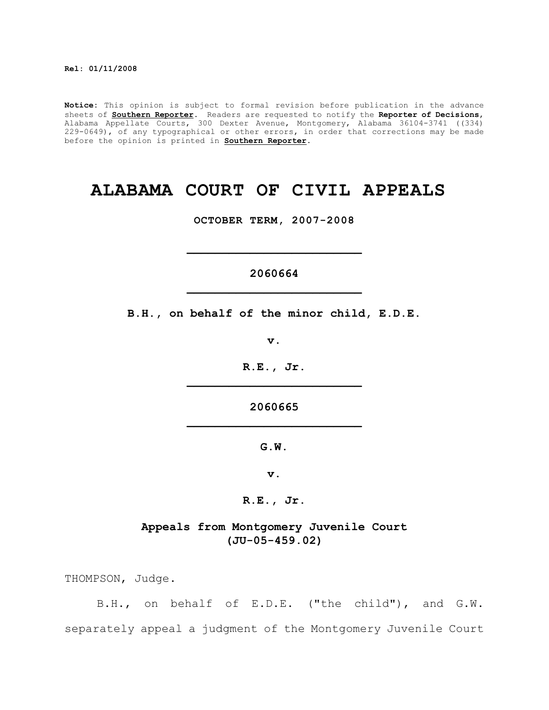**Notice:** This opinion is subject to formal revision before publication in the advance sheets of **Southern Reporter**. Readers are requested to notify the **Reporter of Decisions**, Alabama Appellate Courts, 300 Dexter Avenue, Montgomery, Alabama 36104-3741 ((334) 229-0649), of any typographical or other errors, in order that corrections may be made before the opinion is printed in **Southern Reporter**.

# **ALABAMA COURT OF CIVIL APPEALS**

**OCTOBER TERM, 2007-2008**

# **2060664 \_\_\_\_\_\_\_\_\_\_\_\_\_\_\_\_\_\_\_\_\_\_\_\_\_**

**\_\_\_\_\_\_\_\_\_\_\_\_\_\_\_\_\_\_\_\_\_\_\_\_\_**

**B.H., on behalf of the minor child, E.D.E.**

**v.**

**R.E., Jr. \_\_\_\_\_\_\_\_\_\_\_\_\_\_\_\_\_\_\_\_\_\_\_\_\_**

**2060665 \_\_\_\_\_\_\_\_\_\_\_\_\_\_\_\_\_\_\_\_\_\_\_\_\_**

**G.W.**

**v.**

**R.E., Jr.**

**Appeals from Montgomery Juvenile Court (JU-05-459.02)**

THOMPSON, Judge.

B.H., on behalf of E.D.E. ("the child"), and G.W. separately appeal a judgment of the Montgomery Juvenile Court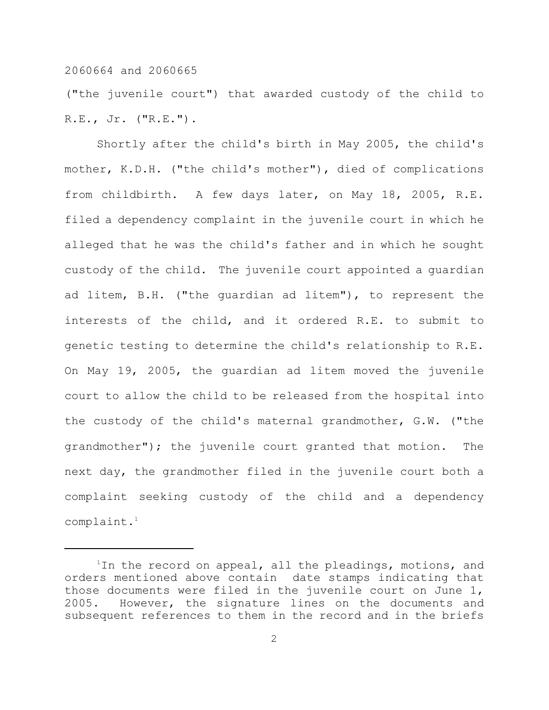("the juvenile court") that awarded custody of the child to R.E., Jr. ("R.E.").

Shortly after the child's birth in May 2005, the child's mother, K.D.H. ("the child's mother"), died of complications from childbirth. A few days later, on May 18, 2005, R.E. filed a dependency complaint in the juvenile court in which he alleged that he was the child's father and in which he sought custody of the child. The juvenile court appointed a guardian ad litem, B.H. ("the guardian ad litem"), to represent the interests of the child, and it ordered R.E. to submit to genetic testing to determine the child's relationship to R.E. On May 19, 2005, the guardian ad litem moved the juvenile court to allow the child to be released from the hospital into the custody of the child's maternal grandmother, G.W. ("the grandmother"); the juvenile court granted that motion. The next day, the grandmother filed in the juvenile court both a complaint seeking custody of the child and a dependency complaint. 1

<sup>&</sup>lt;sup>1</sup>In the record on appeal, all the pleadings, motions, and orders mentioned above contain date stamps indicating that those documents were filed in the juvenile court on June 1, 2005. However, the signature lines on the documents and subsequent references to them in the record and in the briefs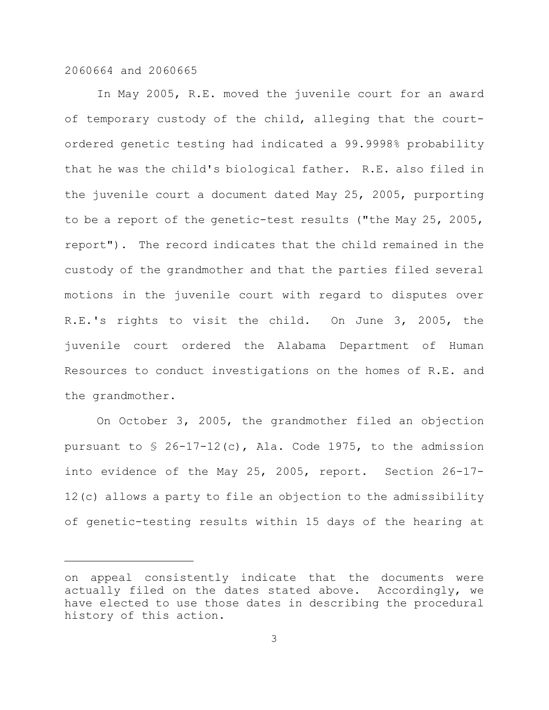In May 2005, R.E. moved the juvenile court for an award of temporary custody of the child, alleging that the courtordered genetic testing had indicated a 99.9998% probability that he was the child's biological father. R.E. also filed in the juvenile court a document dated May 25, 2005, purporting to be a report of the genetic-test results ("the May 25, 2005, report"). The record indicates that the child remained in the custody of the grandmother and that the parties filed several motions in the juvenile court with regard to disputes over R.E.'s rights to visit the child. On June 3, 2005, the juvenile court ordered the Alabama Department of Human Resources to conduct investigations on the homes of R.E. and the grandmother.

On October 3, 2005, the grandmother filed an objection pursuant to § 26-17-12(c), Ala. Code 1975, to the admission into evidence of the May 25, 2005, report. Section 26-17- 12(c) allows a party to file an objection to the admissibility of genetic-testing results within 15 days of the hearing at

on appeal consistently indicate that the documents were actually filed on the dates stated above. Accordingly, we have elected to use those dates in describing the procedural history of this action.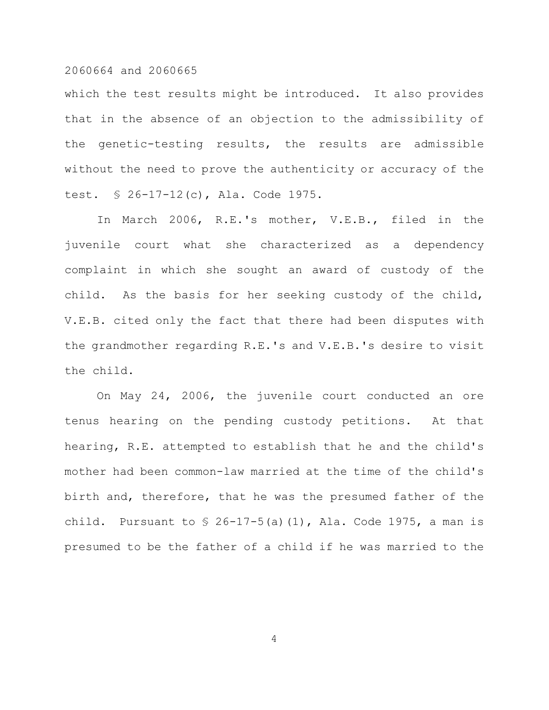which the test results might be introduced. It also provides that in the absence of an objection to the admissibility of the genetic-testing results, the results are admissible without the need to prove the authenticity or accuracy of the test. § 26-17-12(c), Ala. Code 1975.

In March 2006, R.E.'s mother, V.E.B., filed in the juvenile court what she characterized as a dependency complaint in which she sought an award of custody of the child. As the basis for her seeking custody of the child, V.E.B. cited only the fact that there had been disputes with the grandmother regarding R.E.'s and V.E.B.'s desire to visit the child.

On May 24, 2006, the juvenile court conducted an ore tenus hearing on the pending custody petitions. At that hearing, R.E. attempted to establish that he and the child's mother had been common-law married at the time of the child's birth and, therefore, that he was the presumed father of the child. Pursuant to  $\frac{1}{2}$  26-17-5(a)(1), Ala. Code 1975, a man is presumed to be the father of a child if he was married to the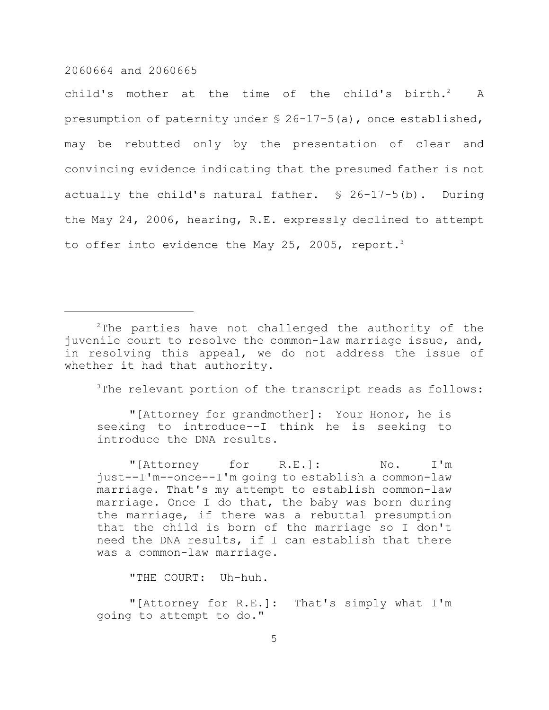child's mother at the time of the child's birth. $2$  A presumption of paternity under § 26-17-5(a), once established, may be rebutted only by the presentation of clear and convincing evidence indicating that the presumed father is not actually the child's natural father. § 26-17-5(b). During the May 24, 2006, hearing, R.E. expressly declined to attempt to offer into evidence the May 25, 2005, report.<sup>3</sup>

<sup>3</sup>The relevant portion of the transcript reads as follows:

"[Attorney for grandmother]: Your Honor, he is seeking to introduce--I think he is seeking to introduce the DNA results.

"[Attorney for R.E.]: No. I'm just--I'm--once--I'm going to establish a common-law marriage. That's my attempt to establish common-law marriage. Once I do that, the baby was born during the marriage, if there was a rebuttal presumption that the child is born of the marriage so I don't need the DNA results, if I can establish that there was a common-law marriage.

"THE COURT: Uh-huh.

"[Attorney for R.E.]: That's simply what I'm going to attempt to do."

 $2$ The parties have not challenged the authority of the juvenile court to resolve the common-law marriage issue, and, in resolving this appeal, we do not address the issue of whether it had that authority.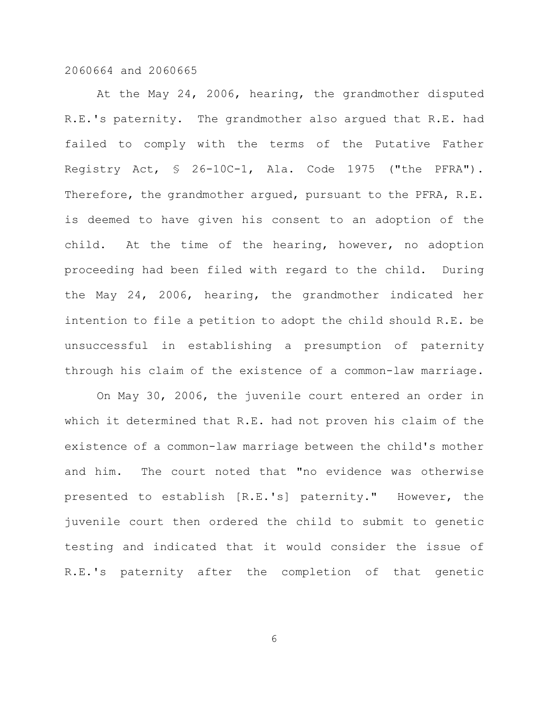At the May 24, 2006, hearing, the grandmother disputed R.E.'s paternity. The grandmother also argued that R.E. had failed to comply with the terms of the Putative Father Registry Act, § 26-10C-1, Ala. Code 1975 ("the PFRA"). Therefore, the grandmother argued, pursuant to the PFRA, R.E. is deemed to have given his consent to an adoption of the child. At the time of the hearing, however, no adoption proceeding had been filed with regard to the child. During the May 24, 2006, hearing, the grandmother indicated her intention to file a petition to adopt the child should R.E. be unsuccessful in establishing a presumption of paternity through his claim of the existence of a common-law marriage.

On May 30, 2006, the juvenile court entered an order in which it determined that R.E. had not proven his claim of the existence of a common-law marriage between the child's mother and him. The court noted that "no evidence was otherwise presented to establish [R.E.'s] paternity." However, the juvenile court then ordered the child to submit to genetic testing and indicated that it would consider the issue of R.E.'s paternity after the completion of that genetic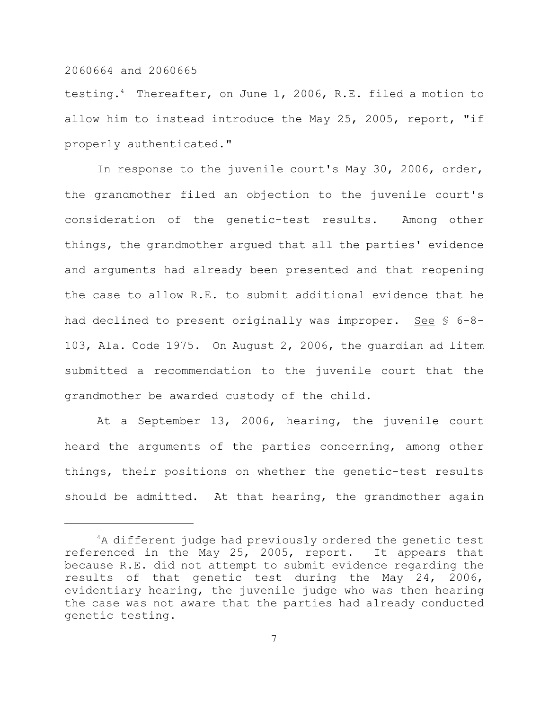testing.<sup>4</sup> Thereafter, on June 1, 2006, R.E. filed a motion to allow him to instead introduce the May 25, 2005, report, "if properly authenticated."

In response to the juvenile court's May 30, 2006, order, the grandmother filed an objection to the juvenile court's consideration of the genetic-test results. Among other things, the grandmother argued that all the parties' evidence and arguments had already been presented and that reopening the case to allow R.E. to submit additional evidence that he had declined to present originally was improper. See § 6-8- 103, Ala. Code 1975. On August 2, 2006, the guardian ad litem submitted a recommendation to the juvenile court that the grandmother be awarded custody of the child.

At a September 13, 2006, hearing, the juvenile court heard the arguments of the parties concerning, among other things, their positions on whether the genetic-test results should be admitted. At that hearing, the grandmother again

 $4A$  different judge had previously ordered the genetic test referenced in the May 25, 2005, report. It appears that because R.E. did not attempt to submit evidence regarding the results of that genetic test during the May 24, 2006, evidentiary hearing, the juvenile judge who was then hearing the case was not aware that the parties had already conducted genetic testing.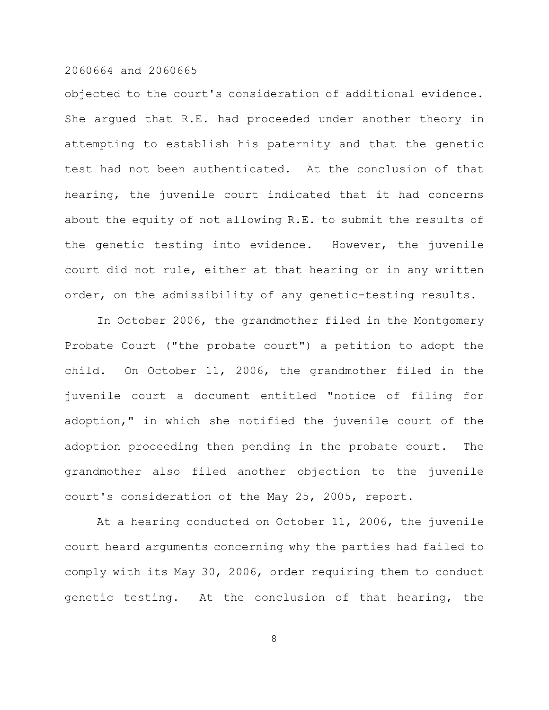objected to the court's consideration of additional evidence. She argued that R.E. had proceeded under another theory in attempting to establish his paternity and that the genetic test had not been authenticated. At the conclusion of that hearing, the juvenile court indicated that it had concerns about the equity of not allowing R.E. to submit the results of the genetic testing into evidence. However, the juvenile court did not rule, either at that hearing or in any written order, on the admissibility of any genetic-testing results.

In October 2006, the grandmother filed in the Montgomery Probate Court ("the probate court") a petition to adopt the child. On October 11, 2006, the grandmother filed in the juvenile court a document entitled "notice of filing for adoption," in which she notified the juvenile court of the adoption proceeding then pending in the probate court. The grandmother also filed another objection to the juvenile court's consideration of the May 25, 2005, report.

At a hearing conducted on October 11, 2006, the juvenile court heard arguments concerning why the parties had failed to comply with its May 30, 2006, order requiring them to conduct genetic testing. At the conclusion of that hearing, the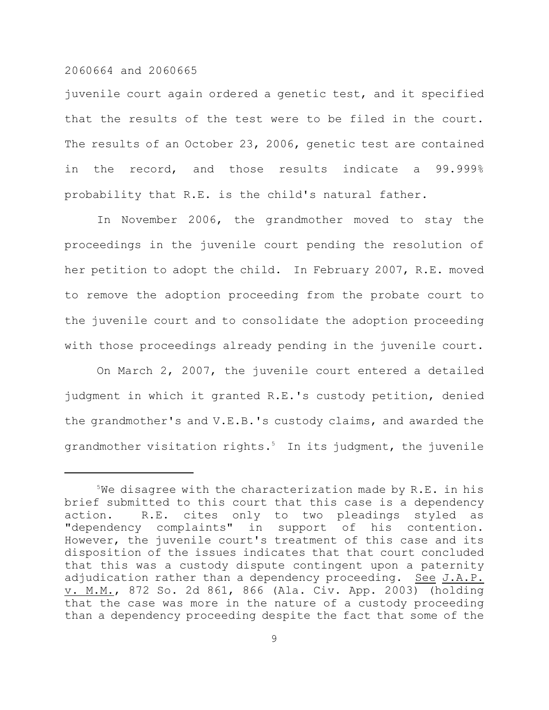juvenile court again ordered a genetic test, and it specified that the results of the test were to be filed in the court. The results of an October 23, 2006, genetic test are contained in the record, and those results indicate a 99.999% probability that R.E. is the child's natural father.

In November 2006, the grandmother moved to stay the proceedings in the juvenile court pending the resolution of her petition to adopt the child. In February 2007, R.E. moved to remove the adoption proceeding from the probate court to the juvenile court and to consolidate the adoption proceeding with those proceedings already pending in the juvenile court.

On March 2, 2007, the juvenile court entered a detailed judgment in which it granted R.E.'s custody petition, denied the grandmother's and V.E.B.'s custody claims, and awarded the grandmother visitation rights.5 In its judgment, the juvenile

 $5$ We disagree with the characterization made by R.E. in his brief submitted to this court that this case is a dependency action. R.E. cites only to two pleadings styled as "dependency complaints" in support of his contention. However, the juvenile court's treatment of this case and its disposition of the issues indicates that that court concluded that this was a custody dispute contingent upon a paternity adjudication rather than a dependency proceeding. See J.A.P. v. M.M., 872 So. 2d 861, 866 (Ala. Civ. App. 2003) (holding that the case was more in the nature of a custody proceeding than a dependency proceeding despite the fact that some of the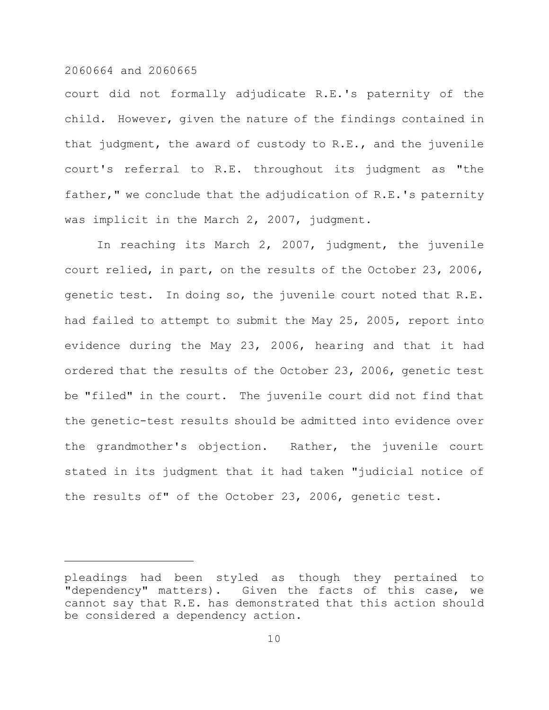court did not formally adjudicate R.E.'s paternity of the child. However, given the nature of the findings contained in that judgment, the award of custody to R.E., and the juvenile court's referral to R.E. throughout its judgment as "the father," we conclude that the adjudication of R.E.'s paternity was implicit in the March 2, 2007, judgment.

In reaching its March 2, 2007, judgment, the juvenile court relied, in part, on the results of the October 23, 2006, genetic test. In doing so, the juvenile court noted that R.E. had failed to attempt to submit the May 25, 2005, report into evidence during the May 23, 2006, hearing and that it had ordered that the results of the October 23, 2006, genetic test be "filed" in the court. The juvenile court did not find that the genetic-test results should be admitted into evidence over the grandmother's objection. Rather, the juvenile court stated in its judgment that it had taken "judicial notice of the results of" of the October 23, 2006, genetic test.

pleadings had been styled as though they pertained to "dependency" matters). Given the facts of this case, we cannot say that R.E. has demonstrated that this action should be considered a dependency action.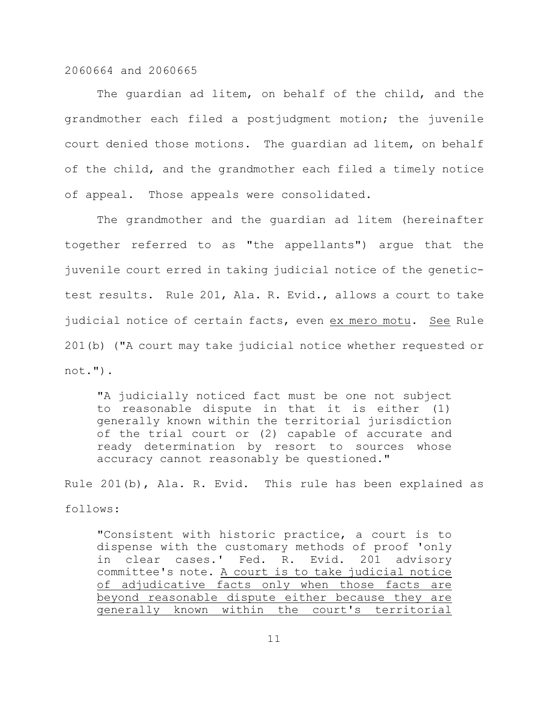The guardian ad litem, on behalf of the child, and the grandmother each filed a postjudgment motion; the juvenile court denied those motions. The guardian ad litem, on behalf of the child, and the grandmother each filed a timely notice of appeal. Those appeals were consolidated.

The grandmother and the guardian ad litem (hereinafter together referred to as "the appellants") argue that the juvenile court erred in taking judicial notice of the genetictest results. Rule 201, Ala. R. Evid., allows a court to take judicial notice of certain facts, even ex mero motu. See Rule 201(b) ("A court may take judicial notice whether requested or not.").

"A judicially noticed fact must be one not subject to reasonable dispute in that it is either (1) generally known within the territorial jurisdiction of the trial court or (2) capable of accurate and ready determination by resort to sources whose accuracy cannot reasonably be questioned."

Rule 201(b), Ala. R. Evid. This rule has been explained as follows:

"Consistent with historic practice, a court is to dispense with the customary methods of proof 'only in clear cases.' Fed. R. Evid. 201 advisory committee's note. A court is to take judicial notice of adjudicative facts only when those facts are beyond reasonable dispute either because they are generally known within the court's territorial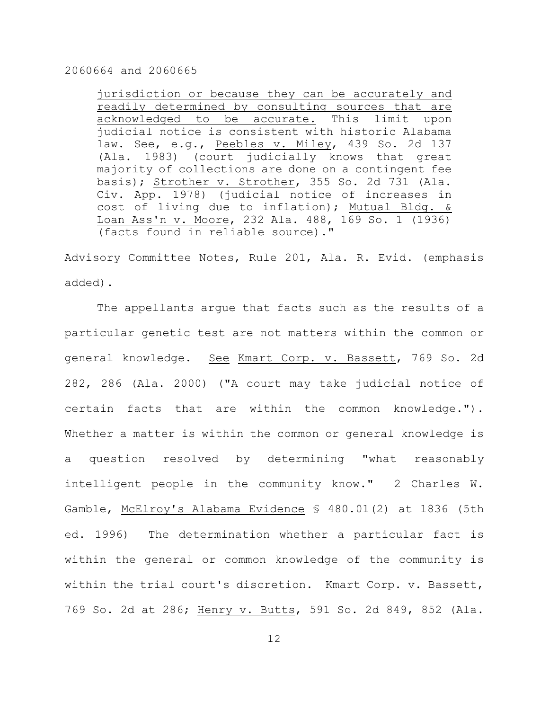jurisdiction or because they can be accurately and readily determined by consulting sources that are acknowledged to be accurate. This limit upon judicial notice is consistent with historic Alabama law. See, e.g., Peebles v. Miley, 439 So. 2d 137 (Ala. 1983) (court judicially knows that great majority of collections are done on a contingent fee basis); Strother v. Strother, 355 So. 2d 731 (Ala. Civ. App. 1978) (judicial notice of increases in cost of living due to inflation); Mutual Bldg. & Loan Ass'n v. Moore, 232 Ala. 488, 169 So. 1 (1936) (facts found in reliable source)."

Advisory Committee Notes, Rule 201, Ala. R. Evid. (emphasis added).

The appellants argue that facts such as the results of a particular genetic test are not matters within the common or general knowledge. See Kmart Corp. v. Bassett, 769 So. 2d 282, 286 (Ala. 2000) ("A court may take judicial notice of certain facts that are within the common knowledge."). Whether a matter is within the common or general knowledge is a question resolved by determining "what reasonably intelligent people in the community know." 2 Charles W. Gamble, McElroy's Alabama Evidence § 480.01(2) at 1836 (5th ed. 1996) The determination whether a particular fact is within the general or common knowledge of the community is within the trial court's discretion. Kmart Corp. v. Bassett, 769 So. 2d at 286; Henry v. Butts, 591 So. 2d 849, 852 (Ala.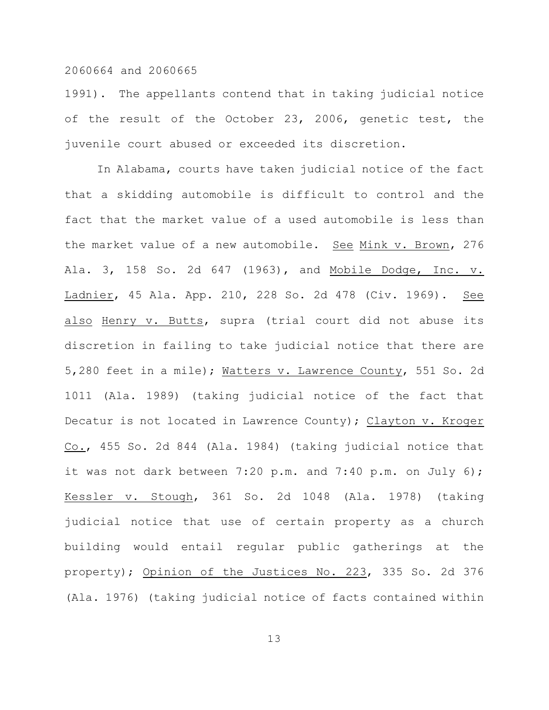1991). The appellants contend that in taking judicial notice of the result of the October 23, 2006, genetic test, the juvenile court abused or exceeded its discretion.

In Alabama, courts have taken judicial notice of the fact that a skidding automobile is difficult to control and the fact that the market value of a used automobile is less than the market value of a new automobile. See Mink v. Brown, 276 Ala. 3, 158 So. 2d 647 (1963), and Mobile Dodge, Inc. v. Ladnier, 45 Ala. App. 210, 228 So. 2d 478 (Civ. 1969). See also Henry v. Butts, supra (trial court did not abuse its discretion in failing to take judicial notice that there are 5,280 feet in a mile); Watters v. Lawrence County, 551 So. 2d 1011 (Ala. 1989) (taking judicial notice of the fact that Decatur is not located in Lawrence County); Clayton v. Kroger Co., 455 So. 2d 844 (Ala. 1984) (taking judicial notice that it was not dark between 7:20 p.m. and 7:40 p.m. on July 6); Kessler v. Stough, 361 So. 2d 1048 (Ala. 1978) (taking judicial notice that use of certain property as a church building would entail regular public gatherings at the property); Opinion of the Justices No. 223, 335 So. 2d 376 (Ala. 1976) (taking judicial notice of facts contained within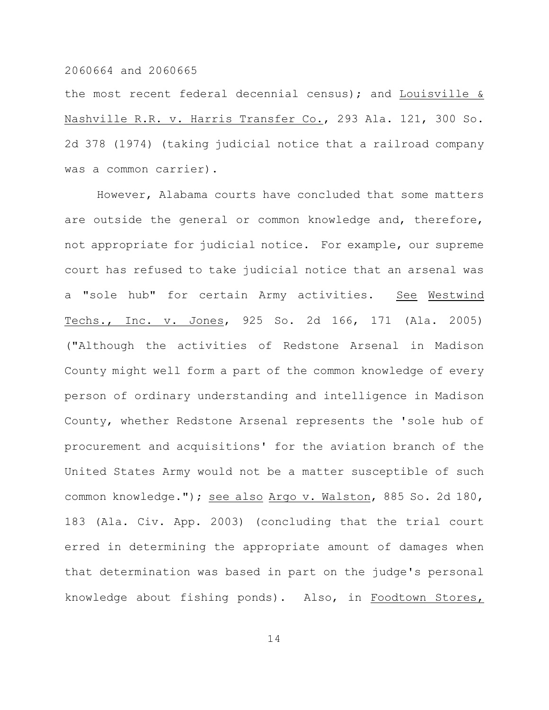the most recent federal decennial census); and Louisville & Nashville R.R. v. Harris Transfer Co., 293 Ala. 121, 300 So. 2d 378 (1974) (taking judicial notice that a railroad company was a common carrier).

However, Alabama courts have concluded that some matters are outside the general or common knowledge and, therefore, not appropriate for judicial notice. For example, our supreme court has refused to take judicial notice that an arsenal was a "sole hub" for certain Army activities. See Westwind Techs., Inc. v. Jones, 925 So. 2d 166, 171 (Ala. 2005) ("Although the activities of Redstone Arsenal in Madison County might well form a part of the common knowledge of every person of ordinary understanding and intelligence in Madison County, whether Redstone Arsenal represents the 'sole hub of procurement and acquisitions' for the aviation branch of the United States Army would not be a matter susceptible of such common knowledge."); see also Argo v. Walston, 885 So. 2d 180, 183 (Ala. Civ. App. 2003) (concluding that the trial court erred in determining the appropriate amount of damages when that determination was based in part on the judge's personal knowledge about fishing ponds). Also, in Foodtown Stores,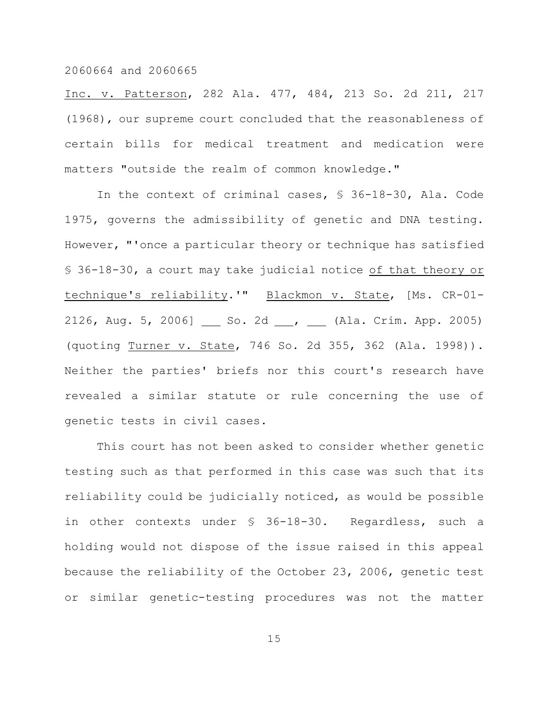Inc. v. Patterson, 282 Ala. 477, 484, 213 So. 2d 211, 217 (1968), our supreme court concluded that the reasonableness of certain bills for medical treatment and medication were matters "outside the realm of common knowledge."

In the context of criminal cases, § 36-18-30, Ala. Code 1975, governs the admissibility of genetic and DNA testing. However, "'once a particular theory or technique has satisfied § 36-18-30, a court may take judicial notice of that theory or technique's reliability.'" Blackmon v. State, [Ms. CR-01- 2126, Aug. 5, 2006] So. 2d , (Ala. Crim. App. 2005) (quoting Turner v. State, 746 So. 2d 355, 362 (Ala. 1998)). Neither the parties' briefs nor this court's research have revealed a similar statute or rule concerning the use of genetic tests in civil cases.

This court has not been asked to consider whether genetic testing such as that performed in this case was such that its reliability could be judicially noticed, as would be possible in other contexts under § 36-18-30. Regardless, such a holding would not dispose of the issue raised in this appeal because the reliability of the October 23, 2006, genetic test or similar genetic-testing procedures was not the matter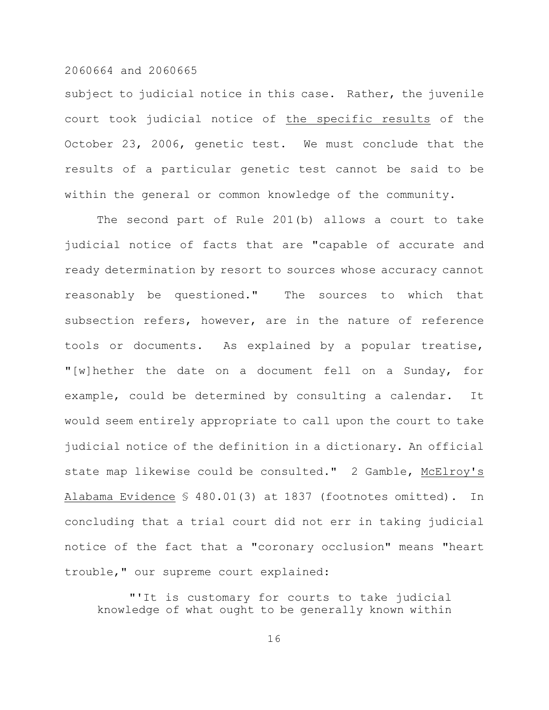subject to judicial notice in this case. Rather, the juvenile court took judicial notice of the specific results of the October 23, 2006, genetic test. We must conclude that the results of a particular genetic test cannot be said to be within the general or common knowledge of the community.

The second part of Rule 201(b) allows a court to take judicial notice of facts that are "capable of accurate and ready determination by resort to sources whose accuracy cannot reasonably be questioned." The sources to which that subsection refers, however, are in the nature of reference tools or documents. As explained by a popular treatise, "[w]hether the date on a document fell on a Sunday, for example, could be determined by consulting a calendar. It would seem entirely appropriate to call upon the court to take judicial notice of the definition in a dictionary. An official state map likewise could be consulted." 2 Gamble, McElroy's Alabama Evidence § 480.01(3) at 1837 (footnotes omitted). In concluding that a trial court did not err in taking judicial notice of the fact that a "coronary occlusion" means "heart trouble," our supreme court explained:

"'It is customary for courts to take judicial knowledge of what ought to be generally known within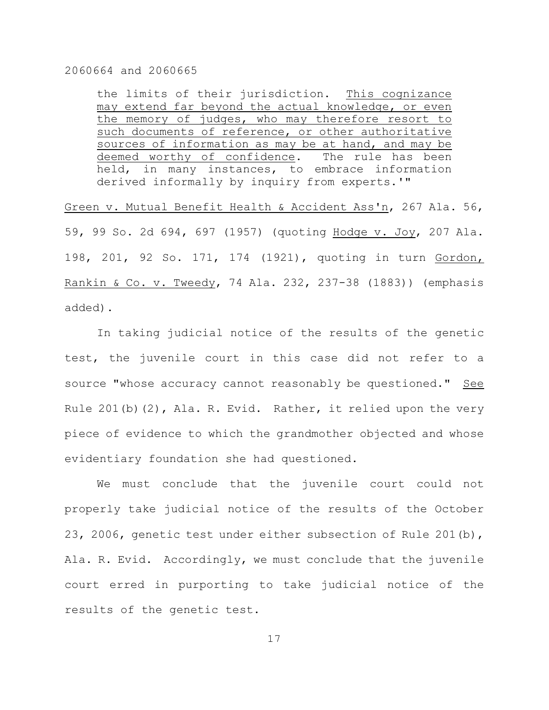the limits of their jurisdiction. This cognizance may extend far beyond the actual knowledge, or even the memory of judges, who may therefore resort to such documents of reference, or other authoritative sources of information as may be at hand, and may be deemed worthy of confidence. The rule has been held, in many instances, to embrace information derived informally by inquiry from experts.'"

Green v. Mutual Benefit Health & Accident Ass'n, 267 Ala. 56, 59, 99 So. 2d 694, 697 (1957) (quoting Hodge v. Joy, 207 Ala. 198, 201, 92 So. 171, 174 (1921), quoting in turn Gordon, Rankin & Co. v. Tweedy, 74 Ala. 232, 237-38 (1883)) (emphasis added).

In taking judicial notice of the results of the genetic test, the juvenile court in this case did not refer to a source "whose accuracy cannot reasonably be questioned." See Rule 201(b)(2), Ala. R. Evid. Rather, it relied upon the very piece of evidence to which the grandmother objected and whose evidentiary foundation she had questioned.

We must conclude that the juvenile court could not properly take judicial notice of the results of the October 23, 2006, genetic test under either subsection of Rule 201(b), Ala. R. Evid. Accordingly, we must conclude that the juvenile court erred in purporting to take judicial notice of the results of the genetic test.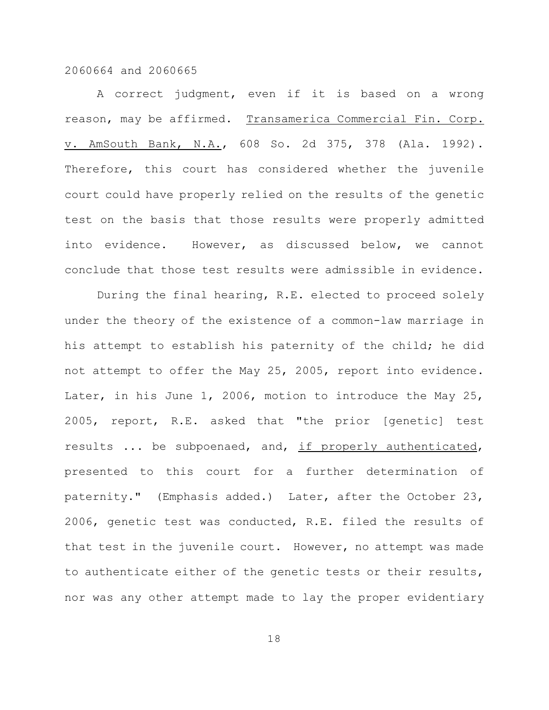A correct judgment, even if it is based on a wrong reason, may be affirmed. Transamerica Commercial Fin. Corp. v. AmSouth Bank, N.A., 608 So. 2d 375, 378 (Ala. 1992). Therefore, this court has considered whether the juvenile court could have properly relied on the results of the genetic test on the basis that those results were properly admitted into evidence. However, as discussed below, we cannot conclude that those test results were admissible in evidence.

During the final hearing, R.E. elected to proceed solely under the theory of the existence of a common-law marriage in his attempt to establish his paternity of the child; he did not attempt to offer the May 25, 2005, report into evidence. Later, in his June 1, 2006, motion to introduce the May 25, 2005, report, R.E. asked that "the prior [genetic] test results ... be subpoenaed, and, if properly authenticated, presented to this court for a further determination of paternity." (Emphasis added.) Later, after the October 23, 2006, genetic test was conducted, R.E. filed the results of that test in the juvenile court. However, no attempt was made to authenticate either of the genetic tests or their results, nor was any other attempt made to lay the proper evidentiary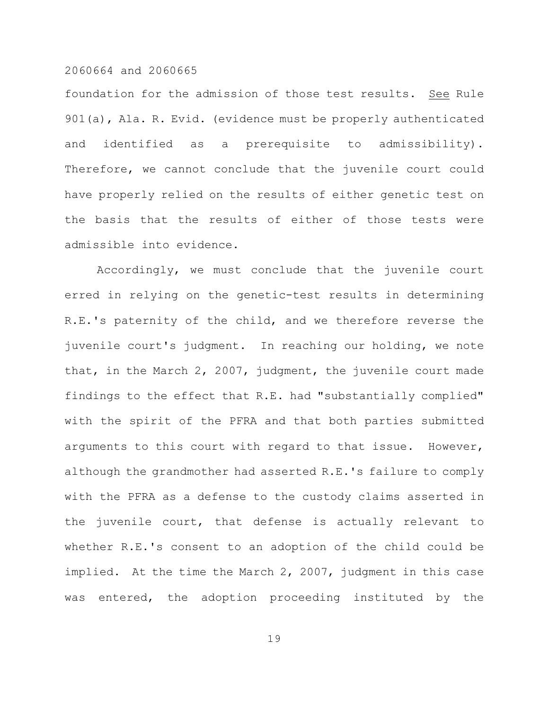foundation for the admission of those test results. See Rule 901(a), Ala. R. Evid. (evidence must be properly authenticated and identified as a prerequisite to admissibility). Therefore, we cannot conclude that the juvenile court could have properly relied on the results of either genetic test on the basis that the results of either of those tests were admissible into evidence.

Accordingly, we must conclude that the juvenile court erred in relying on the genetic-test results in determining R.E.'s paternity of the child, and we therefore reverse the juvenile court's judgment. In reaching our holding, we note that, in the March 2, 2007, judgment, the juvenile court made findings to the effect that R.E. had "substantially complied" with the spirit of the PFRA and that both parties submitted arguments to this court with regard to that issue. However, although the grandmother had asserted R.E.'s failure to comply with the PFRA as a defense to the custody claims asserted in the juvenile court, that defense is actually relevant to whether R.E.'s consent to an adoption of the child could be implied. At the time the March 2, 2007, judgment in this case was entered, the adoption proceeding instituted by the